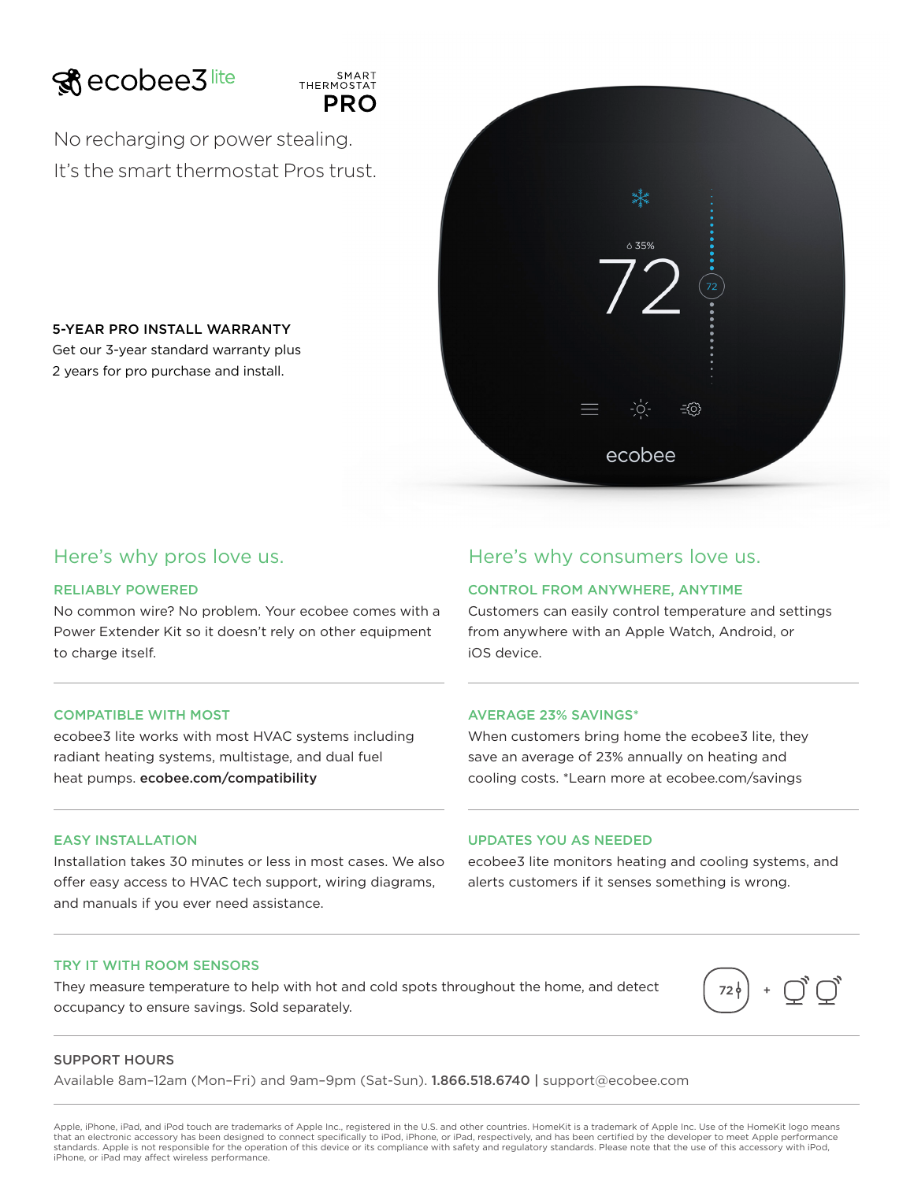



No recharging or power stealing. It's the smart thermostat Pros trust.

5-YEAR PRO INSTALL WARRANTY Get our 3-year standard warranty plus 2 years for pro purchase and install.



# RELIABLY POWERED

No common wire? No problem. Your ecobee comes with a Power Extender Kit so it doesn't rely on other equipment to charge itself.

#### COMPATIBLE WITH MOST

ecobee3 lite works with most HVAC systems including radiant heating systems, multistage, and dual fuel heat pumps. ecobee.com/compatibility

# EASY INSTALLATION

Installation takes 30 minutes or less in most cases. We also offer easy access to HVAC tech support, wiring diagrams, and manuals if you ever need assistance.

# Here's why pros love us. Here's why consumers love us.

# CONTROL FROM ANYWHERE, ANYTIME

Customers can easily control temperature and settings from anywhere with an Apple Watch, Android, or iOS device.

# AVERAGE 23% SAVINGS\*

When customers bring home the ecobee3 lite, they save an average of 23% annually on heating and cooling costs. \*Learn more at ecobee.com/savings

### UPDATES YOU AS NEEDED

ecobee3 lite monitors heating and cooling systems, and alerts customers if it senses something is wrong.

#### TRY IT WITH ROOM SENSORS

They measure temperature to help with hot and cold spots throughout the home, and detect occupancy to ensure savings. Sold separately.



# SUPPORT HOURS

Available 8am–12am (Mon–Fri) and 9am–9pm (Sat-Sun). 1.866.518.6740 | support@ecobee.com

Apple, iPhone, iPad, and iPod touch are trademarks of Apple Inc., registered in the U.S. and other countries. HomeKit is a trademark of Apple Inc. Use of the HomeKit logo means that an electronic accessory has been designed to connect specifically to iPod, iPhone, or iPad, respectively, and has been certified by the developer to meet Apple performance standards. Apple is not responsible for the operation of this device or its compliance with safety and regulatory standards. Please note that the use of this accessory with iPod, iPhone, or iPad may affect wireless performance.